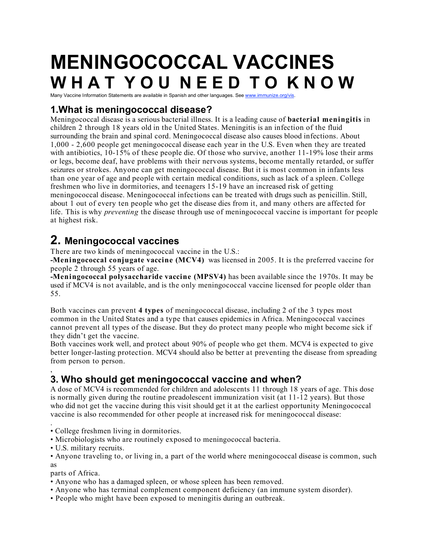# **MENINGOCOCCAL VACCINES W H A T Y O U N E E D T O K N O W**

Many Vaccine Information Statements are available in Spanish and other languages. See www.immunize.org/vis.

# **1.What is meningococcal disease?**

Meningococcal disease is a serious bacterial illness. It is a leading cause of **bacterial meningitis** in children 2 through 18 years old in the United States. Meningitis is an infection of the fluid surrounding the brain and spinal cord. Meningococcal disease also causes blood infections. About 1,000 - 2,600 people get meningococcal disease each year in the U.S. Even when they are treated with antibiotics, 10-15% of these people die. Of those who survive, another 11-19% lose their arms or legs, become deaf, have problems with their nervous systems, become mentally retarded, or suffer seizures or strokes. Anyone can get meningococcal disease. But it is most common in infants less than one year of age and people with certain medical conditions, such as lack of a spleen. College freshmen who live in dormitories, and teenagers 15-19 have an increased risk of getting meningococcal disease. Meningococcal infections can be treated with drugs such as penicillin. Still, about 1 out of every ten people who get the disease dies from it, and many others are affected for life. This is why *preventing* the disease through use of meningococcal vaccine is important for people at highest risk.

# **2. Meningococcal vaccines**

There are two kinds of meningococcal vaccine in the U.S.:

**-Meningococcal conjugate vaccine (MCV4)** was licensed in 2005. It is the preferred vaccine for people 2 through 55 years of age.

**-Meningococcal polysaccharide vaccine (MPSV4)** has been available since the 1970s. It may be used if MCV4 is not available, and is the only meningococcal vaccine licensed for people older than 55.

Both vaccines can prevent **4 types** of meningococcal disease, including 2 of the 3 types most common in the United States and a type that causes epidemics in Africa. Meningococcal vaccines cannot prevent all types of the disease. But they do protect many people who might become sick if they didn't get the vaccine.

Both vaccines work well, and protect about 90% of people who get them. MCV4 is expected to give better longer-lasting protection. MCV4 should also be better at preventing the disease from spreading from person to person.

#### , **3. Who should get meningococcal vaccine and when?**

A dose of MCV4 is recommended for children and adolescents 11 through 18 years of age. This dose is normally given during the routine preadolescent immunization visit (at 11-12 years). But those who did not get the vaccine during this visit should get it at the earliest opportunity Meningococcal vaccine is also recommended for other people at increased risk for meningococcal disease:

. • College freshmen living in dormitories.

• Microbiologists who are routinely exposed to meningococcal bacteria.

• U.S. military recruits.

• Anyone traveling to, or living in, a part of the world where meningococcal disease is common, such as

parts of Africa.

• Anyone who has a damaged spleen, or whose spleen has been removed.

- Anyone who has terminal complement component deficiency (an immune system disorder).
- People who might have been exposed to meningitis during an outbreak.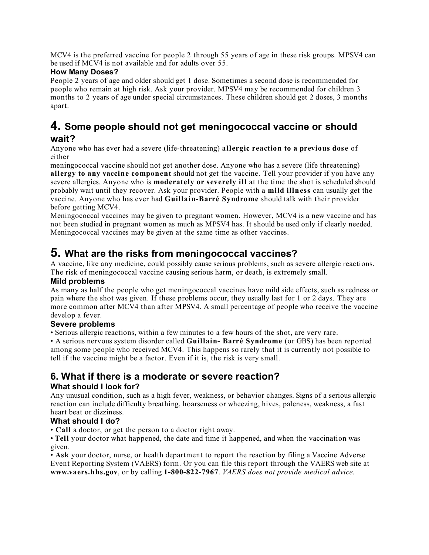MCV4 is the preferred vaccine for people 2 through 55 years of age in these risk groups. MPSV4 can be used if MCV4 is not available and for adults over 55.

#### **How Many Doses?**

People 2 years of age and older should get 1 dose. Sometimes a second dose is recommended for people who remain at high risk. Ask your provider. MPSV4 may be recommended for children 3 months to 2 years of age under special circumstances. These children should get 2 doses, 3 months apart.

## **4. Some people should not get meningococcal vaccine or should wait?**

Anyone who has ever had a severe (life-threatening) **allergic reaction to a previous dose** of either

meningococcal vaccine should not get another dose. Anyone who has a severe (life threatening) **allergy to any vaccine component** should not get the vaccine. Tell your provider if you have any severe allergies. Anyone who is **moderately or severely ill** at the time the shot is scheduled should probably wait until they recover. Ask your provider. People with a **mild illness** can usually get the vaccine. Anyone who has ever had **Guillain-Barré Syndrome** should talk with their provider before getting MCV4.

Meningococcal vaccines may be given to pregnant women. However, MCV4 is a new vaccine and has not been studied in pregnant women as much as MPSV4 has. It should be used only if clearly needed. Meningococcal vaccines may be given at the same time as other vaccines.

# **5. What are the risks from meningococcal vaccines?**

A vaccine, like any medicine, could possibly cause serious problems, such as severe allergic reactions. The risk of meningococcal vaccine causing serious harm, or death, is extremely small.

#### **Mild problems**

As many as half the people who get meningococcal vaccines have mild side effects, such as redness or pain where the shot was given. If these problems occur, they usually last for 1 or 2 days. They are more common after MCV4 than after MPSV4. A small percentage of people who receive the vaccine develop a fever.

#### **Severe problems**

• Serious allergic reactions, within a few minutes to a few hours of the shot, are very rare.

• A serious nervous system disorder called **Guillain- Barré Syndrome** (or GBS) has been reported among some people who received MCV4. This happens so rarely that it is currently not possible to tell if the vaccine might be a factor. Even if it is, the risk is very small.

### **6. What if there is a moderate or severe reaction? What should I look for?**

Any unusual condition, such as a high fever, weakness, or behavior changes. Signs of a serious allergic reaction can include difficulty breathing, hoarseness or wheezing, hives, paleness, weakness, a fast heart beat or dizziness.

#### **What should I do?**

• **Call** a doctor, or get the person to a doctor right away.

• **Tell** your doctor what happened, the date and time it happened, and when the vaccination was given.

• **Ask** your doctor, nurse, or health department to report the reaction by filing a Vaccine Adverse Event Reporting System (VAERS) form. Or you can file this report through the VAERS web site at **www.vaers.hhs.gov**, or by calling **1-800-822-7967**. *VAERS does not provide medical advice.*